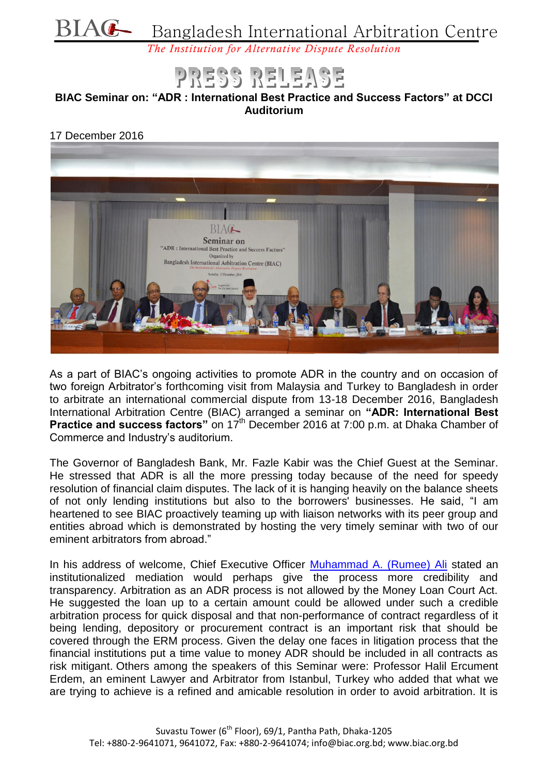# BIAG Bangladesh International Arbitration Centre

*The Institution for Alternative Dispute Resolution*

## RELEASE

#### **BIAC Seminar on: "ADR : International Best Practice and Success Factors" at DCCI Auditorium**

#### 17 December 2016



As a part of BIAC's ongoing activities to promote ADR in the country and on occasion of two foreign Arbitrator's forthcoming visit from Malaysia and Turkey to Bangladesh in order to arbitrate an international commercial dispute from 13-18 December 2016, Bangladesh International Arbitration Centre (BIAC) arranged a seminar on **"ADR: International Best Practice and success factors"** on 17<sup>th</sup> December 2016 at 7:00 p.m. at Dhaka Chamber of Commerce and Industry's auditorium.

The Governor of Bangladesh Bank, Mr. Fazle Kabir was the Chief Guest at the Seminar. He stressed that ADR is all the more pressing today because of the need for speedy resolution of financial claim disputes. The lack of it is hanging heavily on the balance sheets of not only lending institutions but also to the borrowers' businesses. He said, "I am heartened to see BIAC proactively teaming up with liaison networks with its peer group and entities abroad which is demonstrated by hosting the very timely seminar with two of our eminent arbitrators from abroad."

In his address of welcome, Chief Executive Officer [Muhammad A. \(Rumee\) Ali](http://biac.org.bd/?p=2311) stated an institutionalized mediation would perhaps give the process more credibility and transparency. Arbitration as an ADR process is not allowed by the Money Loan Court Act. He suggested the loan up to a certain amount could be allowed under such a credible arbitration process for quick disposal and that non-performance of contract regardless of it being lending, depository or procurement contract is an important risk that should be covered through the ERM process. Given the delay one faces in litigation process that the financial institutions put a time value to money ADR should be included in all contracts as risk mitigant. Others among the speakers of this Seminar were: Professor Halil Ercument Erdem, an eminent Lawyer and Arbitrator from Istanbul, Turkey who added that what we are trying to achieve is a refined and amicable resolution in order to avoid arbitration. It is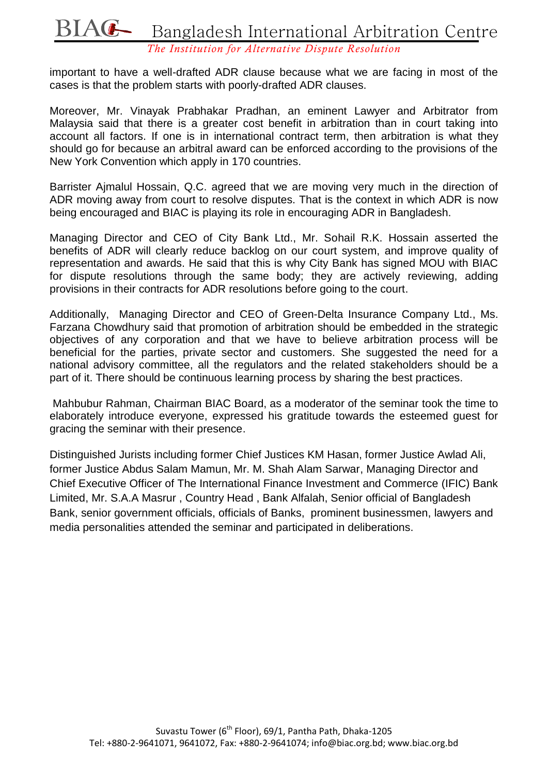# BIAG Bangladesh International Arbitration Centre

*The Institution for Alternative Dispute Resolution*

important to have a well-drafted ADR clause because what we are facing in most of the cases is that the problem starts with poorly-drafted ADR clauses.

Moreover, Mr. Vinayak Prabhakar Pradhan, an eminent Lawyer and Arbitrator from Malaysia said that there is a greater cost benefit in arbitration than in court taking into account all factors. If one is in international contract term, then arbitration is what they should go for because an arbitral award can be enforced according to the provisions of the New York Convention which apply in 170 countries.

Barrister Ajmalul Hossain, Q.C. agreed that we are moving very much in the direction of ADR moving away from court to resolve disputes. That is the context in which ADR is now being encouraged and BIAC is playing its role in encouraging ADR in Bangladesh.

Managing Director and CEO of City Bank Ltd., Mr. Sohail R.K. Hossain asserted the benefits of ADR will clearly reduce backlog on our court system, and improve quality of representation and awards. He said that this is why City Bank has signed MOU with BIAC for dispute resolutions through the same body; they are actively reviewing, adding provisions in their contracts for ADR resolutions before going to the court.

Additionally, Managing Director and CEO of Green-Delta Insurance Company Ltd., Ms. Farzana Chowdhury said that promotion of arbitration should be embedded in the strategic objectives of any corporation and that we have to believe arbitration process will be beneficial for the parties, private sector and customers. She suggested the need for a national advisory committee, all the regulators and the related stakeholders should be a part of it. There should be continuous learning process by sharing the best practices.

Mahbubur Rahman, Chairman BIAC Board, as a moderator of the seminar took the time to elaborately introduce everyone, expressed his gratitude towards the esteemed guest for gracing the seminar with their presence.

Distinguished Jurists including former Chief Justices KM Hasan, former Justice Awlad Ali, former Justice Abdus Salam Mamun, Mr. M. Shah Alam Sarwar, Managing Director and Chief Executive Officer of The International Finance Investment and Commerce (IFIC) Bank Limited, Mr. S.A.A Masrur , Country Head , Bank Alfalah, Senior official of Bangladesh Bank, senior government officials, officials of Banks, prominent businessmen, lawyers and media personalities attended the seminar and participated in deliberations.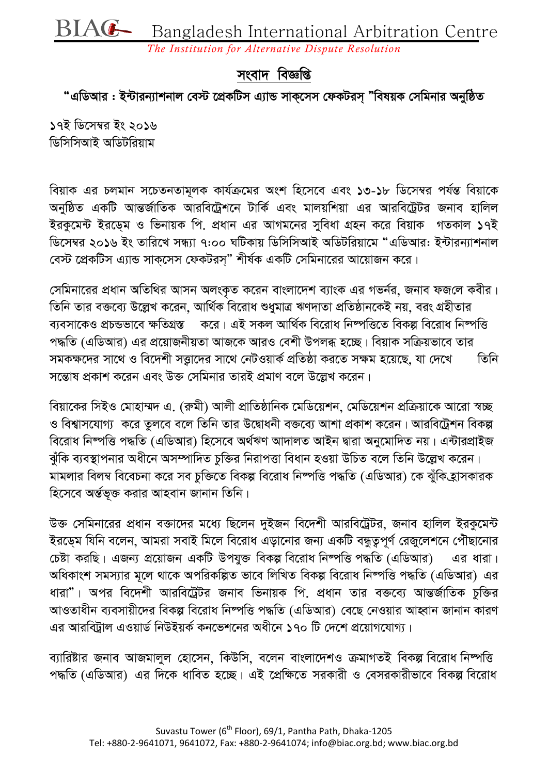**BIAG** Bangladesh International Arbitration Centre

*The Institution for Alternative Dispute Resolution*

### সংবাদ বিজ্ঞপ্তি

*"* এডিআর : ইন্টারন্যাশনাল বেস্ট প্রেকটিস এ্যান্ড সাকসেস ফেকটরস "বিষয়ক সেমিনার অনুষ্ঠিত

*17B wW‡m¤^i Bs 2016 ডিসি*সিআই অডিটরিয়াম

*weqvK Gi Pjgvb m‡PZbZvg~jK Kvh©µ‡gi Ask wn‡m‡e Ges 13-18 wW‡m¤^i ch©šÍ weqv‡K AbywôZ GKwU AvšÍR©vwZK Aviwe‡Uªk‡b UvwK© Ges gvjqwkqv Gi Aviwe‡UªUi Rbve nvwjj*  ইরকুমেন্ট ইরড়েম ও ভিনায়ক পি. প্রধান এর আগমনের সুবিধা গ্রহন করে বিয়াক *পতকাল ১৭ই ডি*সেম্বর ২০১৬ ইং তারিখে সন্ধ্যা ৭:০০ ঘটিকায় ডিসিসিআই অডিটরিয়ামে "এডিআর: ইন্টারন্যাশনাল *†e÷ ‡cÖKwUm G¨vÛ mvK&‡mm †dKUim&Ó kxl©K GKwU †mwgbv‡ii Av‡qvRb K‡i|* 

*সে*মিনারের প্রধান অতিথির আসন অলংকৃত করেন বাংলাদেশ ব্যাংক এর গভর্নর, জনাব ফজলে কবীর। *তি*নি তার বক্তব্যে উল্লেখ করেন. আর্থিক বিরোধ শুধুমাত্র ঋণদাতা প্রতিষ্ঠানকেই নয়. বরং গ্রহীতার *ব্যবসাকেও প্রচন্ডভাবে ক্ষতিগ্রস্ত করে। এই সকল আর্থিক বিরোধ নিষ্পত্ত দিকল্প বিরোধ নিষ্পত্তি*  $\cdot$ পদ্ধতি (এডিআর) এর প্রয়োজনীয়তা আজকে আরও বেশী উপলব্ধ হচ্ছে। বিয়াক সক্রিয়ভাবে তার  $\overline{a}$ সমকক্ষদের সাথে ও বিদেশী সত্তাদের সাথে নেটওয়ার্ক প্রতিষ্ঠা করতে সক্ষম হয়েছে, যা দেখে তিনি *স*ন্তোষ প্ৰকাশ করেন এবং উক্ত সেমিনার তারই প্রমাণ বলে উল্লেখ করেন।

*বি*য়াকের সিইও মোহাম্মদ এ. (রুমী) আলী প্রাতিষ্ঠানিক মেডিয়েশন, মেডিয়েশন প্রক্রিয়াকে আরো স্বচ্ছ ও বিশ্বাসযোগ্য করে তুলবে বলে তিনি তার উদ্বোধনী বক্তব্যে আশা প্রকাশ করেন। আরবিট্রেশন বিকল্প *বি*রোধ নিম্পত্তি পদ্ধতি (এডিআর) হিসেবে অর্থঋণ আদালত আইন দ্বারা অনুমোদিত নয়। এন্টারপ্রাইজ *ন্মঁ*কি ব্যবস্থাপনার অধীনে অসম্পাদিত চুক্তির নিরাপত্তা বিধান হওয়া উচিত বলে তিনি উল্লেখ করেন। মামলার বিলম্ব বিবেচনা করে সব চুক্তিতে বিকল্প বিরোধ নিষ্পত্তি পদ্ধতি (এডিআর) কে ঝুঁকি*হ্রা*সকারক *হিসে*বে অৰ্ন্তভূক্ত করার আহবান জানান তিনি।

*D³ †mwgbv‡ii cÖavb e³v‡`i g‡a¨ wQ‡jb `yBRb we‡`kx Aviwe‡UªUi, Rbve nvwjj BiKz‡g›U*   $\bar{z}$ রড়েম যিনি বলেন, আমরা সবাই মিলে বিরোধ এড়ানোর জন্য একটি বন্ধুত্বপূর্ণ রেজুলেশনে পৌঁছানোর  $\sqrt{p}$ ট করছি। এজন্য প্রয়োজন একটি উপযুক্ত বিকল্প বিরোধ নিম্পত্তি পদ্ধতি (এডিআর) এর ধারা। স্বধিকাংশ সমস্যার মূলে থাকে অপরিকল্পিত ভাবে লিখিত বিকল্প বিরোধ নিষ্পত্তি পদ্ধতি (এডিআর) এর ধারা"। অপর বিদেশী আরবিট্রেটর জনাব ভিনায়ক পি. প্রধান তার বক্তব্যে আন্তর্জাতিক চুক্তির *আওতাধীন ব্যবসায়ীদে*র বিকল্প বিরোধ নিষ্পত্তি পদ্ধতি (এডিআর) বেছে নেওয়ার আহ্বান জানান কারণ এর আরবিটাল এওয়ার্ড নিউইয়র্ক কনভেশনের অধীনে ১৭০ টি দেশে প্রয়োগযোগ্য।

*ব্যা*ৱিষ্টার জনাব আজমালুল হোসেন, কিউসি, বলেন বাংলাদেশও ক্রমাগতই বিকল্প বিরোধ নিম্পত্তি  $\alpha$ দ্ধতি (এডিআর) এর দিকে ধাবিত হচ্ছে। এই প্রেক্ষিতে সরকারী ও বেসরকারীভাবে বিকল্প বিরোধ